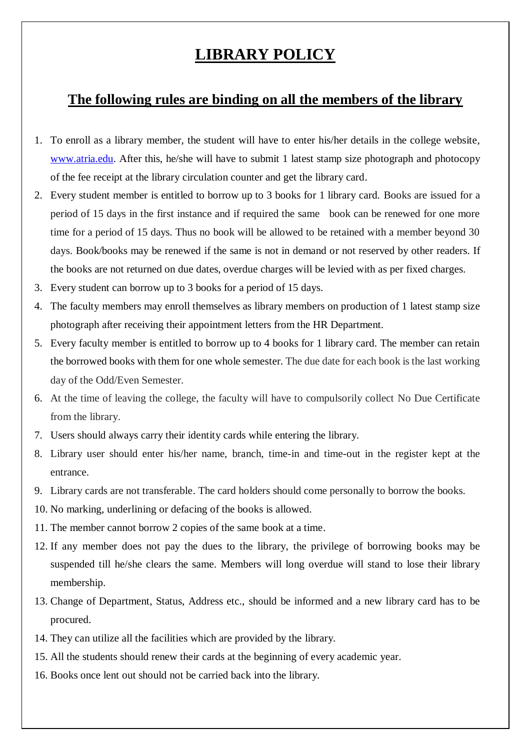## **LIBRARY POLICY**

## **The following rules are binding on all the members of the library**

- 1. To enroll as a library member, the student will have to enter his/her details in the college website, [www.atria.edu.](http://www.atria.edu/) After this, he/she will have to submit 1 latest stamp size photograph and photocopy of the fee receipt at the library circulation counter and get the library card.
- 2. Every student member is entitled to borrow up to 3 books for 1 library card. Books are issued for a period of 15 days in the first instance and if required the same book can be renewed for one more time for a period of 15 days. Thus no book will be allowed to be retained with a member beyond 30 days. Book/books may be renewed if the same is not in demand or not reserved by other readers. If the books are not returned on due dates, overdue charges will be levied with as per fixed charges.
- 3. Every student can borrow up to 3 books for a period of 15 days.
- 4. The faculty members may enroll themselves as library members on production of 1 latest stamp size photograph after receiving their appointment letters from the HR Department.
- 5. Every faculty member is entitled to borrow up to 4 books for 1 library card. The member can retain the borrowed books with them for one whole semester. The due date for each book is the last working day of the Odd/Even Semester.
- 6. At the time of leaving the college, the faculty will have to compulsorily collect No Due Certificate from the library.
- 7. Users should always carry their identity cards while entering the library.
- 8. Library user should enter his/her name, branch, time-in and time-out in the register kept at the entrance.
- 9. Library cards are not transferable. The card holders should come personally to borrow the books.
- 10. No marking, underlining or defacing of the books is allowed.
- 11. The member cannot borrow 2 copies of the same book at a time.
- 12. If any member does not pay the dues to the library, the privilege of borrowing books may be suspended till he/she clears the same. Members will long overdue will stand to lose their library membership.
- 13. Change of Department, Status, Address etc., should be informed and a new library card has to be procured.
- 14. They can utilize all the facilities which are provided by the library.
- 15. All the students should renew their cards at the beginning of every academic year.
- 16. Books once lent out should not be carried back into the library.